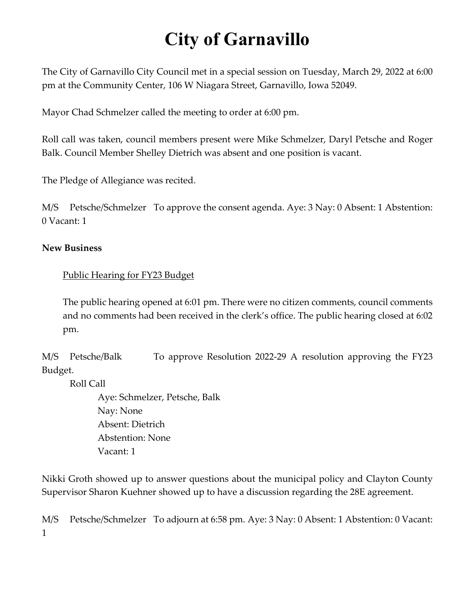## **City of Garnavillo**

The City of Garnavillo City Council met in a special session on Tuesday, March 29, 2022 at 6:00 pm at the Community Center, 106 W Niagara Street, Garnavillo, Iowa 52049.

Mayor Chad Schmelzer called the meeting to order at 6:00 pm.

Roll call was taken, council members present were Mike Schmelzer, Daryl Petsche and Roger Balk. Council Member Shelley Dietrich was absent and one position is vacant.

The Pledge of Allegiance was recited.

M/S Petsche/Schmelzer To approve the consent agenda. Aye: 3 Nay: 0 Absent: 1 Abstention: 0 Vacant: 1

## **New Business**

## Public Hearing for FY23 Budget

The public hearing opened at 6:01 pm. There were no citizen comments, council comments and no comments had been received in the clerk's office. The public hearing closed at 6:02 pm.

M/S Petsche/Balk To approve Resolution 2022-29 A resolution approving the FY23 Budget.

Roll Call

Aye: Schmelzer, Petsche, Balk Nay: None Absent: Dietrich Abstention: None Vacant: 1

Nikki Groth showed up to answer questions about the municipal policy and Clayton County Supervisor Sharon Kuehner showed up to have a discussion regarding the 28E agreement.

M/S Petsche/Schmelzer To adjourn at 6:58 pm. Aye: 3 Nay: 0 Absent: 1 Abstention: 0 Vacant: 1